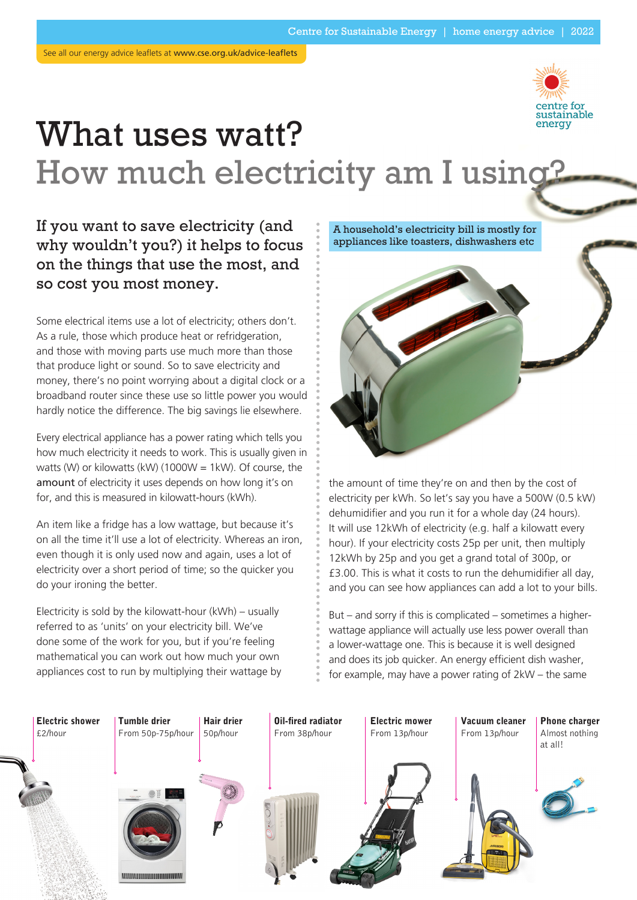

# What uses watt? How much electricity am I using?

## If you want to save electricity (and why wouldn't you?) it helps to focus on the things that use the most, and so cost you most money.

Some electrical items use a lot of electricity; others don't. As a rule, those which produce heat or refridgeration, and those with moving parts use much more than those that produce light or sound. So to save electricity and money, there's no point worrying about a digital clock or a broadband router since these use so little power you would hardly notice the difference. The big savings lie elsewhere.

Every electrical appliance has a power rating which tells you how much electricity it needs to work. This is usually given in watts (W) or kilowatts (kW) (1000W = 1kW). Of course, the amount of electricity it uses depends on how long it's on for, and this is measured in kilowatt-hours (kWh).

An item like a fridge has a low wattage, but because it's on all the time it'll use a lot of electricity. Whereas an iron, even though it is only used now and again, uses a lot of electricity over a short period of time; so the quicker you do your ironing the better.

Electricity is sold by the kilowatt-hour (kWh) – usually referred to as 'units' on your electricity bill. We've done some of the work for you, but if you're feeling mathematical you can work out how much your own appliances cost to run by multiplying their wattage by A household's electricity bill is mostly for appliances like toasters, dishwashers etc



the amount of time they're on and then by the cost of electricity per kWh. So let's say you have a 500W (0.5 kW) dehumidifier and you run it for a whole day (24 hours). It will use 12kWh of electricity (e.g. half a kilowatt every hour). If your electricity costs 25p per unit, then multiply 12kWh by 25p and you get a grand total of 300p, or £3.00. This is what it costs to run the dehumidifier all day, and you can see how appliances can add a lot to your bills.

But – and sorry if this is complicated – sometimes a higherwattage appliance will actually use less power overall than a lower-wattage one. This is because it is well designed and does its job quicker. An energy efficient dish washer, for example, may have a power rating of 2kW – the same